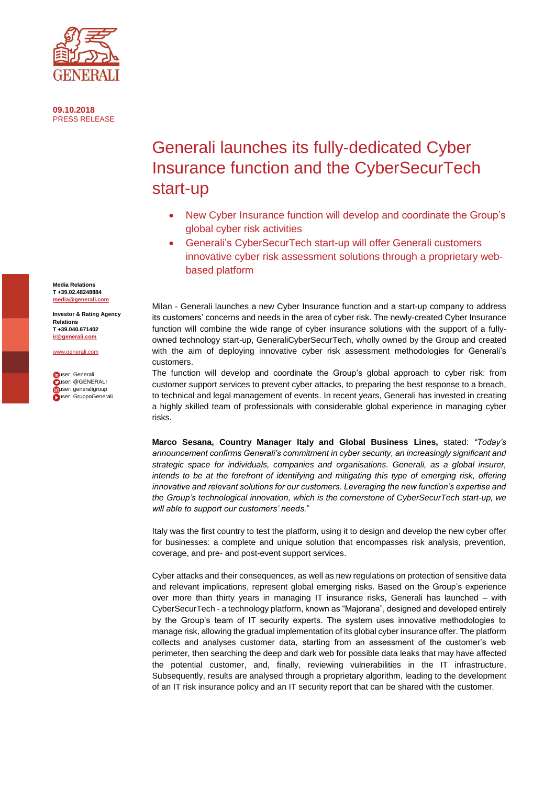

**09.10.2018** PRESS RELEASE

## Generali launches its fully-dedicated Cyber Insurance function and the CyberSecurTech start-up

- New Cyber Insurance function will develop and coordinate the Group's global cyber risk activities
- Generali's CyberSecurTech start-up will offer Generali customers innovative cyber risk assessment solutions through a proprietary webbased platform

Milan - Generali launches a new Cyber Insurance function and a start-up company to address its customers' concerns and needs in the area of cyber risk. The newly-created Cyber Insurance function will combine the wide range of cyber insurance solutions with the support of a fullyowned technology start-up, GeneraliCyberSecurTech, wholly owned by the Group and created with the aim of deploying innovative cyber risk assessment methodologies for Generali's customers.

The function will develop and coordinate the Group's global approach to cyber risk: from customer support services to prevent cyber attacks, to preparing the best response to a breach, to technical and legal management of events. In recent years, Generali has invested in creating a highly skilled team of professionals with considerable global experience in managing cyber risks.

**Marco Sesana, Country Manager Italy and Global Business Lines,** stated: *"Today's announcement confirms Generali's commitment in cyber security, an increasingly significant and strategic space for individuals, companies and organisations. Generali, as a global insurer, intends to be at the forefront of identifying and mitigating this type of emerging risk, offering*  innovative and relevant solutions for our customers. Leveraging the new function's expertise and *the Group's technological innovation, which is the cornerstone of CyberSecurTech start-up, we will able to support our customers' needs.*"

Italy was the first country to test the platform, using it to design and develop the new cyber offer for businesses: a complete and unique solution that encompasses risk analysis, prevention, coverage, and pre- and post-event support services.

Cyber attacks and their consequences, as well as new regulations on protection of sensitive data and relevant implications, represent global emerging risks. Based on the Group's experience over more than thirty years in managing IT insurance risks, Generali has launched – with CyberSecurTech - a technology platform, known as "Majorana", designed and developed entirely by the Group's team of IT security experts. The system uses innovative methodologies to manage risk, allowing the gradual implementation of its global cyber insurance offer. The platform collects and analyses customer data, starting from an assessment of the customer's web perimeter, then searching the deep and dark web for possible data leaks that may have affected the potential customer, and, finally, reviewing vulnerabilities in the IT infrastructure. Subsequently, results are analysed through a proprietary algorithm, leading to the development of an IT risk insurance policy and an IT security report that can be shared with the customer.

**Media Relations T +39.02.48248884 [media@generali.com](mailto:media@generali.com)**

**Investor & Rating Agency Relations T +39.040.671402 [ir@generali.com](mailto:ir@generali.com)**

[www.generali.com](http://www.generali.com/)

**fouser:** Generali user: @GENERALI buser: generaligroup **Luser: GruppoGenerali**